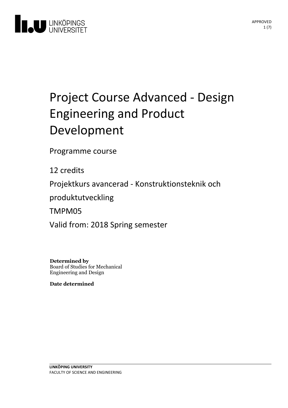

# Project Course Advanced - Design **Engineering and Product** Development

Programme course

12 credits

Projektkurs avancerad - Konstruktionsteknik och

produktutveckling

TMPM05

Valid from: 2018 Spring semester

**Determined by** Board of Studies for Mechanical Engineering and Design

**Date determined**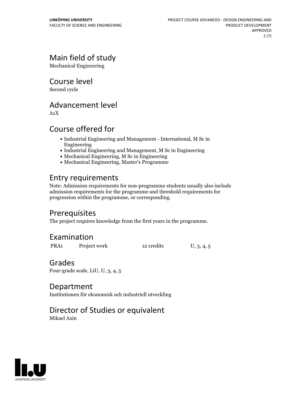# Main field of study

Mechanical Engineering

Course level

Second cycle

### Advancement level

A1X

# Course offered for

- Industrial Engineering and Management International, M Sc in Engineering
- Industrial Engineering and Management, M Sc in Engineering
- Mechanical Engineering, M Sc in Engineering
- Mechanical Engineering, Master's Programme

# Entry requirements

Note: Admission requirements for non-programme students usually also include admission requirements for the programme and threshold requirements for progression within the programme, or corresponding.

# **Prerequisites**

The project requires knowledge from the first years in the programme.

# Examination

| PRA <sub>1</sub> | Project work | 12 credits | U, 3, 4, 5 |
|------------------|--------------|------------|------------|
|                  |              |            |            |

### Grades

Four-grade scale, LiU, U, 3, 4, 5

### Department

Institutionen för ekonomisk och industriell utveckling

# Director of Studies or equivalent

Mikael Axin

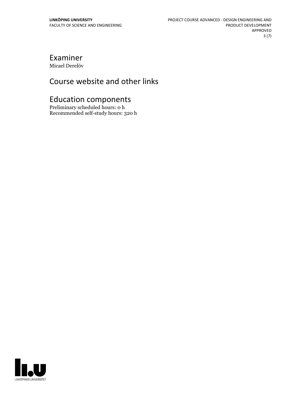# Examiner

Micael Derelöv

# Course website and other links

# Education components

Preliminary scheduled hours: 0 h Recommended self-study hours: 320 h

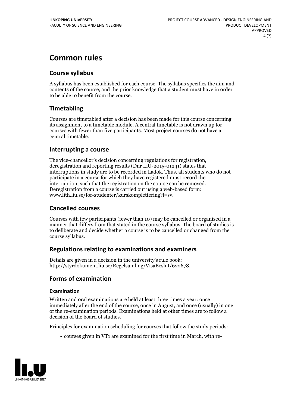# **Common rules**

### **Course syllabus**

A syllabus has been established for each course. The syllabus specifies the aim and contents of the course, and the prior knowledge that a student must have in order to be able to benefit from the course.

### **Timetabling**

Courses are timetabled after a decision has been made for this course concerning its assignment to a timetable module. A central timetable is not drawn up for courses with fewer than five participants. Most project courses do not have a central timetable.

### **Interrupting a course**

The vice-chancellor's decision concerning regulations for registration, deregistration and reporting results (Dnr LiU-2015-01241) states that interruptions in study are to be recorded in Ladok. Thus, all students who do not participate in a course for which they have registered must record the interruption, such that the registration on the course can be removed. Deregistration from <sup>a</sup> course is carried outusing <sup>a</sup> web-based form: www.lith.liu.se/for-studenter/kurskomplettering?l=sv.

### **Cancelled courses**

Courses with few participants (fewer than 10) may be cancelled or organised in a manner that differs from that stated in the course syllabus. The board of studies is to deliberate and decide whether a course is to be cancelled orchanged from the course syllabus.

### **Regulations relatingto examinations and examiners**

Details are given in a decision in the university's rule book: http://styrdokument.liu.se/Regelsamling/VisaBeslut/622678.

### **Forms of examination**

### **Examination**

Written and oral examinations are held at least three times a year: once immediately after the end of the course, once in August, and once (usually) in one of the re-examination periods. Examinations held at other times are to follow a decision of the board of studies.

Principles for examination scheduling for courses that follow the study periods:

courses given in VT1 are examined for the first time in March, with re-

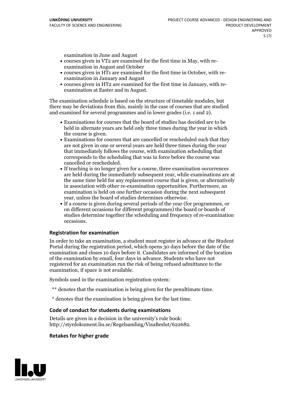examination in June and August

- courses given in VT2 are examined for the first time in May, with re-examination in August and October
- courses given in HT1 are examined for the first time in October, with re-examination in January and August
- courses given in HT2 are examined for the first time in January, with re-examination at Easter and in August.

The examination schedule is based on the structure of timetable modules, but there may be deviations from this, mainly in the case of courses that are studied and examined for several programmes and in lower grades (i.e. 1 and 2).

- Examinations for courses that the board of studies has decided are to be held in alternate years are held only three times during the year in which
- the course is given.<br>• Examinations for courses that are cancelled or rescheduled such that they are not given in one or several years are held three times during the year that immediately follows the course, with examination scheduling that corresponds to the scheduling that was in force before the course was cancelled or rescheduled.<br>• If teaching is no longer given for a course, three examination occurrences
- are held during the immediately subsequent year, while examinations are at the same time held for any replacement course that is given, or alternatively in association with other re-examination opportunities. Furthermore, an examination is held on one further occasion during the next subsequent year, unless the board of studies determines otherwise.<br>• If a course is given during several periods of the year (for programmes, or
- on different occasions for different programmes) the board orboards of studies determine together the scheduling and frequency of re-examination occasions.

### **Registration for examination**

In order to take an examination, a student must register in advance at the Student Portal during the registration period, which opens 30 days before the date of the examination and closes 10 days before it. Candidates are informed of the location of the examination by email, four days in advance. Students who have not registered for an examination run the risk of being refused admittance to the examination, if space is not available.

Symbols used in the examination registration system:

- \*\* denotes that the examination is being given for the penultimate time.
- \* denotes that the examination is being given for the last time.

#### **Code of conduct for students during examinations**

Details are given in a decision in the university's rule book: http://styrdokument.liu.se/Regelsamling/VisaBeslut/622682.

#### **Retakes for higher grade**

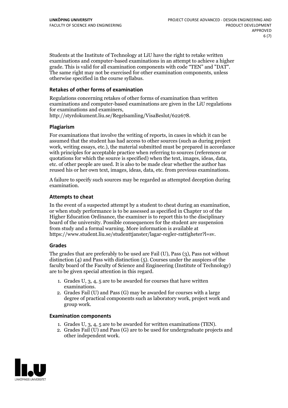Students at the Institute of Technology at LiU have the right to retake written examinations and computer-based examinations in an attempt to achieve a higher grade. This is valid for all examination components with code "TEN" and "DAT". The same right may not be exercised for other examination components, unless otherwise specified in the course syllabus.

#### **Retakes of other forms of examination**

Regulations concerning retakes of other forms of examination than written examinations and computer-based examinations are given in the LiU regulations for examinations and examiners, http://styrdokument.liu.se/Regelsamling/VisaBeslut/622678.

#### **Plagiarism**

For examinations that involve the writing of reports, in cases in which it can be assumed that the student has had access to other sources (such as during project work, writing essays, etc.), the material submitted must be prepared in accordance with principles for acceptable practice when referring to sources (references or quotations for which the source is specified) when the text, images, ideas, data, etc. of other people are used. It is also to be made clear whether the author has reused his or her own text, images, ideas, data, etc. from previous examinations.

A failure to specify such sources may be regarded as attempted deception during examination.

#### **Attempts to cheat**

In the event of <sup>a</sup> suspected attempt by <sup>a</sup> student to cheat during an examination, or when study performance is to be assessed as specified in Chapter <sup>10</sup> of the Higher Education Ordinance, the examiner is to report this to the disciplinary board of the university. Possible consequences for the student are suspension from study and a formal warning. More information is available at https://www.student.liu.se/studenttjanster/lagar-regler-rattigheter?l=sv.

#### **Grades**

The grades that are preferably to be used are Fail (U), Pass (3), Pass not without distinction  $(4)$  and Pass with distinction  $(5)$ . Courses under the auspices of the faculty board of the Faculty of Science and Engineering (Institute of Technology) are to be given special attention in this regard.

- 1. Grades U, 3, 4, 5 are to be awarded for courses that have written
- examinations. 2. Grades Fail (U) and Pass (G) may be awarded for courses with <sup>a</sup> large degree of practical components such as laboratory work, project work and group work.

#### **Examination components**

- 
- 1. Grades U, 3, 4, <sup>5</sup> are to be awarded for written examinations (TEN). 2. Grades Fail (U) and Pass (G) are to be used for undergraduate projects and other independent work.